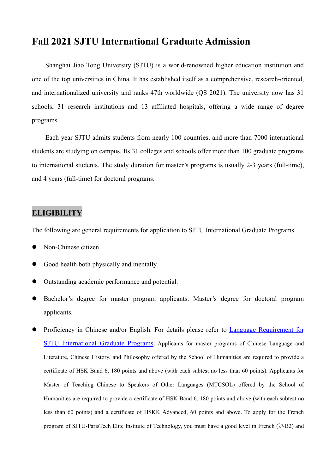# **Fall 2021 SJTU International Graduate Admission**

Shanghai Jiao Tong University (SJTU) is a world-renowned higher education institution and one of the top universities in China. It has established itself as a comprehensive, research-oriented, and internationalized university and ranks 47th worldwide (QS 2021). The university now has 31 schools, 31 research institutions and 13 affiliated hospitals, offering a wide range of degree programs.

Each year SJTU admits students from nearly 100 countries, and more than 7000 international students are studying on campus. Its 31 colleges and schools offer more than 100 graduate programs to international students. The study duration for master's programs is usually 2-3 years (full-time), and 4 years (full-time) for doctoral programs.

# **ELIGIBILITY**

The following are general requirements for application to SJTU International Graduate Programs.

- Non-Chinese citizen.
- Good health both physically and mentally.
- Outstanding academic performance and potential.
- Bachelor's degree for master program applicants. Master's degree for doctoral program applicants.
- **•** Proficiency in Chinese and/or English. For details please refer to Language Requirement for SJTU International Graduate Programs. Applicants for master programs of Chinese Language and Literature, Chinese History, and Philosophy offered by the School of Humanities are required to provide a certificate of HSK Band 6, 180 points and above (with each subtest no less than 60 points). Applicants for Master of Teaching Chinese to Speakers of Other Languages (MTCSOL) offered by the School of Humanities are required to provide a certificate of HSK Band 6, 180 points and above (with each subtest no less than 60 points) and a certificate of HSKK Advanced, 60 points and above. To apply for the French program of SJTU-ParisTech Elite Institute of Technology, you must have a good level in French ( $\geq$ B2) and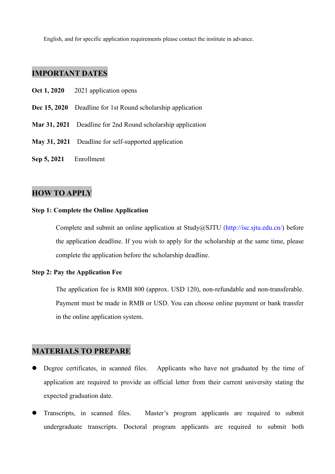English, and for specific application requirements please contact the institute in advance.

# **IMPORTANT DATES**

- **Oct 1, 2020** 2021 application opens
- **Dec 15, 2020** Deadline for 1st Round scholarship application
- **Mar 31, 2021** Deadline for 2nd Round scholarship application
- **May 31, 2021** Deadline for self-supported application
- **Sep 5, 2021** Enrollment

## **HOW TO APPLY**

#### **Step 1: Complete the Online Application**

Complete and submit an online application at Study@SJTU [\(http://isc.sjtu.edu.cn/\)](http://isc.sjtu.edu.cn/) before the application deadline. If you wish to apply for the scholarship at the same time, please complete the application before the scholarship deadline.

#### **Step 2: Pay the Application Fee**

The application fee is RMB 800 (approx. USD 120), non-refundable and non-transferable. Payment must be made in RMB or USD. You can choose online payment or bank transfer in the online application system.

#### **MATERIALS TO PREPARE**

- Degree certificates, in scanned files. Applicants who have not graduated by the time of application are required to provide an official letter from their current university stating the expected graduation date.
- Transcripts, in scanned files. Master's program applicants are required to submit undergraduate transcripts. Doctoral program applicants are required to submit both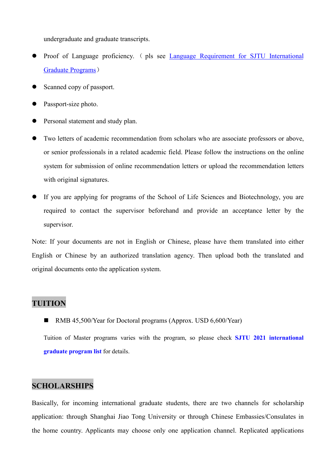undergraduate and graduate transcripts.

- Proof of Language proficiency. ( pls see Language Requirement for SJTU International Graduate Programs)
- Scanned copy of passport.
- Passport-size photo.
- Personal statement and study plan.
- Two letters of academic recommendation from scholars who are associate professors or above, or senior professionals in a related academic field. Please follow the instructions on the online system for submission of online recommendation letters or upload the recommendation letters with original signatures.
- If you are applying for programs of the Schoolof Life Sciences and Biotechnology, you are required to contact the supervisor beforehand and provide an acceptance letter by the supervisor.

Note: If your documents are not in English or Chinese, please have them translated into either English or Chinese by an authorized translation agency. Then upload both the translated and original documents onto the application system.

# **TUITION**

RMB 45,500/Year for Doctoral programs (Approx. USD 6,600/Year)

Tuition of Master programs varies with the program, so please check **SJTU 2021 [international](https://isc.sjtu.edu.cn/EN/content.aspx?info_lb=250&flag=1) graduate program list** for details.

# **SCHOLARSHIPS**

Basically, for incoming international graduate students, there are two channels for scholarship application: through Shanghai Jiao Tong University or through Chinese Embassies/Consulates in the home country.Applicants may choose only one application channel. Replicated applications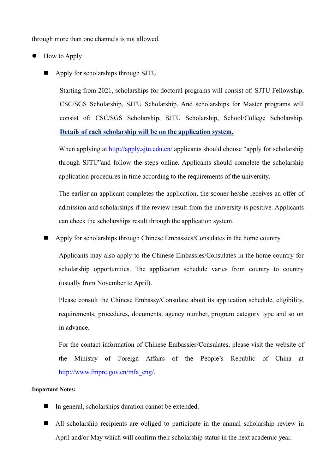through more than one channels is not allowed.

- How to Apply
	- Apply for scholarships through SJTU

Starting from 2021, scholarships for doctoral programs will consist of: SJTU Fellowship, CSC/SGS Scholarship, SJTU Scholarship. And scholarships for Master programs will consist of: CSC/SGS Scholarship, SJTU Scholarship, School/College Scholarship. Details of each scholarship will be on the application system.

When applying at http://apply.sjtu.edu.cn/ applicants should choose "apply for scholarship" through SJTU"and follow the steps online. Applicants should complete the scholarship application procedures in time according to the requirements of the university.

The earlier an applicant completes the application, the sooner he/she receives an offer of admission and scholarships if the review result from the university is positive. Applicants can check the scholarships result through the application system.

Apply for scholarships through Chinese Embassies/Consulates in the home country

Applicants may also apply to the Chinese Embassies/Consulates in the home country for scholarship opportunities. The application schedule varies from country to country (usually from November to April).

Please consult the Chinese Embassy/Consulate about its application schedule, eligibility, requirements, procedures, documents, agency number, program category type and so on in advance.

For the contact information of Chinese Embassies/Consulates, please visit the website of the Ministry of Foreign Affairs of the People's Republic of China at [http://www.fmprc.gov.cn/mfa\\_eng/.](http://www.fmprc.gov.cn/mfa_eng/.)

#### **Important Notes:**

- In general, scholarships duration cannot be extended.
- All scholarship recipients are obliged to participate in the annual scholarship review in April and/or May which will confirm their scholarship status in the next academic year.